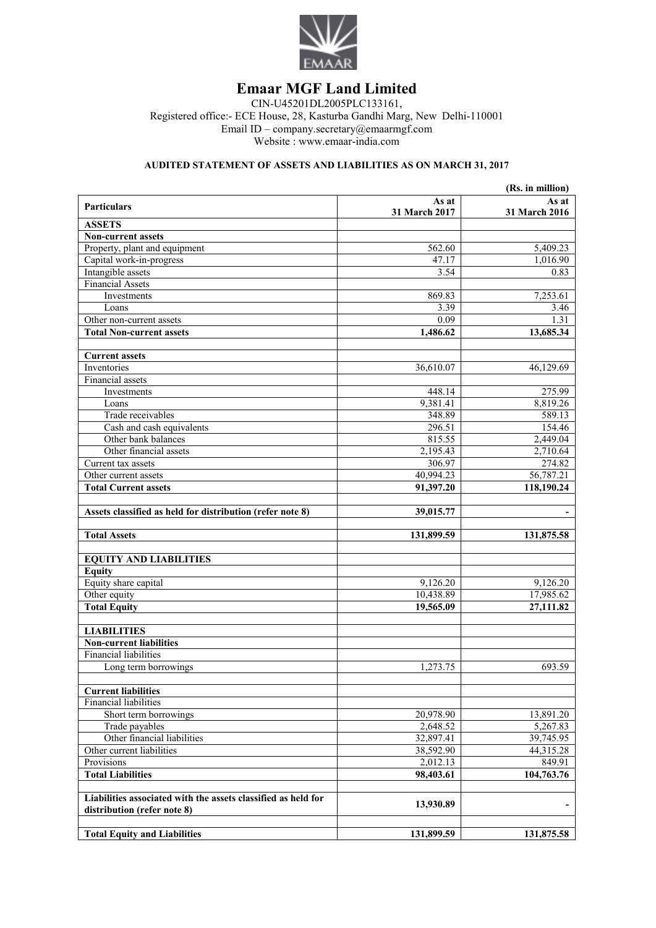

# **Emaar MGF Land Limited**

CIN-U45201DL2005PLC133161, Registered office:- ECE House, 28, Kasturba Gandhi Marg, New Delhi-110001 Email ID – company.secretary@emaarmgf.com Website : www.emaar-india.com

### **AUDITED STATEMENT OF ASSETS AND LIABILITIES AS ON MARCH 31, 2017**

| (Rs. in million)                                              |               |               |  |
|---------------------------------------------------------------|---------------|---------------|--|
| <b>Particulars</b>                                            | As at         | As at         |  |
| <b>ASSETS</b>                                                 | 31 March 2017 | 31 March 2016 |  |
| <b>Non-current assets</b>                                     |               |               |  |
| Property, plant and equipment                                 | 562.60        | 5,409.23      |  |
| Capital work-in-progress                                      | 47.17         | 1,016.90      |  |
| Intangible assets                                             | 3.54          | 0.83          |  |
| <b>Financial Assets</b>                                       |               |               |  |
| Investments                                                   | 869.83        | 7,253.61      |  |
| Loans                                                         | 3.39          | 3.46          |  |
| Other non-current assets                                      | 0.09          | 1.31          |  |
| <b>Total Non-current assets</b>                               | 1,486.62      | 13,685.34     |  |
|                                                               |               |               |  |
| <b>Current assets</b>                                         |               |               |  |
| Inventories                                                   | 36,610.07     | 46,129.69     |  |
| Financial assets                                              |               |               |  |
| Investments                                                   | 448.14        | 275.99        |  |
| Loans                                                         | 9,381.41      | 8,819.26      |  |
| Trade receivables                                             | 348.89        | 589.13        |  |
| Cash and cash equivalents                                     | 296.51        | 154.46        |  |
| Other bank balances                                           | 815.55        | 2,449.04      |  |
| Other financial assets                                        | 2,195.43      | 2,710.64      |  |
| Current tax assets                                            | 306.97        | 274.82        |  |
| Other current assets                                          | 40,994.23     | 56,787.21     |  |
| <b>Total Current assets</b>                                   | 91,397.20     | 118,190.24    |  |
|                                                               |               |               |  |
| Assets classified as held for distribution (refer note 8)     | 39,015.77     |               |  |
|                                                               |               |               |  |
| <b>Total Assets</b>                                           | 131,899.59    | 131,875.58    |  |
| <b>EQUITY AND LIABILITIES</b>                                 |               |               |  |
| <b>Equity</b>                                                 |               |               |  |
| Equity share capital                                          | 9,126.20      | 9,126.20      |  |
| Other equity                                                  | 10,438.89     | 17,985.62     |  |
| <b>Total Equity</b>                                           | 19,565.09     | 27,111.82     |  |
|                                                               |               |               |  |
| <b>LIABILITIES</b>                                            |               |               |  |
| <b>Non-current liabilities</b>                                |               |               |  |
| <b>Financial liabilities</b>                                  |               |               |  |
| Long term borrowings                                          | 1,273.75      | 693.59        |  |
| <b>Current liabilities</b>                                    |               |               |  |
| <b>Financial liabilities</b>                                  |               |               |  |
| Short term borrowings                                         | 20,978.90     | 13,891.20     |  |
| Trade payables                                                | 2,648.52      | 5,267.83      |  |
| Other financial liabilities                                   | 32,897.41     | 39,745.95     |  |
| Other current liabilities                                     | 38,592.90     | 44,315.28     |  |
| Provisions                                                    | 2,012.13      | 849.91        |  |
| <b>Total Liabilities</b>                                      | 98,403.61     | 104,763.76    |  |
|                                                               |               |               |  |
| Liabilities associated with the assets classified as held for |               |               |  |
| distribution (refer note 8)                                   | 13,930.89     |               |  |
|                                                               |               |               |  |
| <b>Total Equity and Liabilities</b>                           | 131,899.59    | 131,875.58    |  |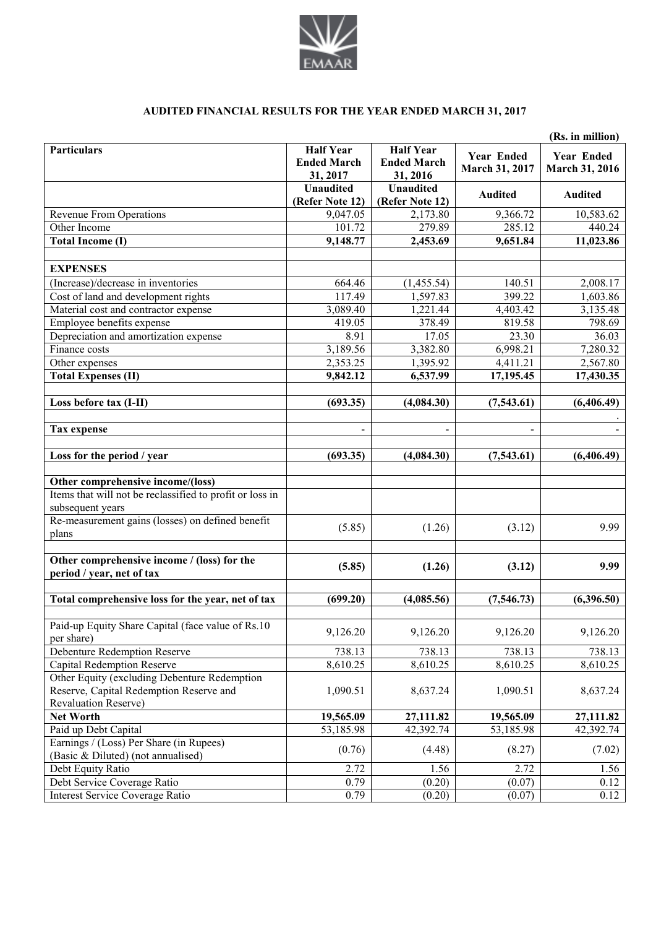

## **AUDITED FINANCIAL RESULTS FOR THE YEAR ENDED MARCH 31, 2017**

| <b>Half Year</b><br><b>Half Year</b><br><b>Particulars</b><br><b>Year Ended</b><br><b>Year Ended</b><br><b>Ended March</b><br><b>Ended March</b><br>March 31, 2017<br><b>March 31, 2016</b><br>31, 2017<br>31, 2016<br><b>Unaudited</b><br><b>Unaudited</b><br><b>Audited</b><br><b>Audited</b><br>(Refer Note 12)<br>(Refer Note 12)<br>9,047.05<br>2,173.80<br><b>Revenue From Operations</b><br>10,583.62<br>9,366.72<br>285.12<br>Other Income<br>101.72<br>279.89<br>440.24<br>9,148.77<br>9,651.84<br>11,023.86<br><b>Total Income (I)</b><br>2,453.69<br><b>EXPENSES</b><br>(Increase)/decrease in inventories<br>664.46<br>140.51<br>2,008.17<br>(1,455.54)<br>117.49<br>1,597.83<br>399.22<br>1,603.86<br>Cost of land and development rights<br>3,089.40<br>3,135.48<br>Material cost and contractor expense<br>1,221.44<br>4,403.42<br>419.05<br>378.49<br>819.58<br>798.69<br>Employee benefits expense<br>Depreciation and amortization expense<br>8.91<br>17.05<br>23.30<br>36.03 |
|-------------------------------------------------------------------------------------------------------------------------------------------------------------------------------------------------------------------------------------------------------------------------------------------------------------------------------------------------------------------------------------------------------------------------------------------------------------------------------------------------------------------------------------------------------------------------------------------------------------------------------------------------------------------------------------------------------------------------------------------------------------------------------------------------------------------------------------------------------------------------------------------------------------------------------------------------------------------------------------------------|
|                                                                                                                                                                                                                                                                                                                                                                                                                                                                                                                                                                                                                                                                                                                                                                                                                                                                                                                                                                                                 |
|                                                                                                                                                                                                                                                                                                                                                                                                                                                                                                                                                                                                                                                                                                                                                                                                                                                                                                                                                                                                 |
|                                                                                                                                                                                                                                                                                                                                                                                                                                                                                                                                                                                                                                                                                                                                                                                                                                                                                                                                                                                                 |
|                                                                                                                                                                                                                                                                                                                                                                                                                                                                                                                                                                                                                                                                                                                                                                                                                                                                                                                                                                                                 |
|                                                                                                                                                                                                                                                                                                                                                                                                                                                                                                                                                                                                                                                                                                                                                                                                                                                                                                                                                                                                 |
|                                                                                                                                                                                                                                                                                                                                                                                                                                                                                                                                                                                                                                                                                                                                                                                                                                                                                                                                                                                                 |
|                                                                                                                                                                                                                                                                                                                                                                                                                                                                                                                                                                                                                                                                                                                                                                                                                                                                                                                                                                                                 |
|                                                                                                                                                                                                                                                                                                                                                                                                                                                                                                                                                                                                                                                                                                                                                                                                                                                                                                                                                                                                 |
|                                                                                                                                                                                                                                                                                                                                                                                                                                                                                                                                                                                                                                                                                                                                                                                                                                                                                                                                                                                                 |
|                                                                                                                                                                                                                                                                                                                                                                                                                                                                                                                                                                                                                                                                                                                                                                                                                                                                                                                                                                                                 |
|                                                                                                                                                                                                                                                                                                                                                                                                                                                                                                                                                                                                                                                                                                                                                                                                                                                                                                                                                                                                 |
|                                                                                                                                                                                                                                                                                                                                                                                                                                                                                                                                                                                                                                                                                                                                                                                                                                                                                                                                                                                                 |
| 3,189.56<br>3,382.80<br>7,280.32<br>Finance costs<br>6,998.21                                                                                                                                                                                                                                                                                                                                                                                                                                                                                                                                                                                                                                                                                                                                                                                                                                                                                                                                   |
| 2,353.25<br>2,567.80<br>Other expenses<br>1,395.92<br>4,411.21                                                                                                                                                                                                                                                                                                                                                                                                                                                                                                                                                                                                                                                                                                                                                                                                                                                                                                                                  |
| 6,537.99<br><b>Total Expenses (II)</b><br>9,842.12<br>17,195.45<br>17,430.35                                                                                                                                                                                                                                                                                                                                                                                                                                                                                                                                                                                                                                                                                                                                                                                                                                                                                                                    |
|                                                                                                                                                                                                                                                                                                                                                                                                                                                                                                                                                                                                                                                                                                                                                                                                                                                                                                                                                                                                 |
| Loss before tax (I-II)<br>(693.35)<br>(4,084.30)<br>(7,543.61)<br>(6,406.49)                                                                                                                                                                                                                                                                                                                                                                                                                                                                                                                                                                                                                                                                                                                                                                                                                                                                                                                    |
|                                                                                                                                                                                                                                                                                                                                                                                                                                                                                                                                                                                                                                                                                                                                                                                                                                                                                                                                                                                                 |
| <b>Tax expense</b><br>$\overline{\phantom{0}}$<br>$\overline{a}$<br>$\blacksquare$                                                                                                                                                                                                                                                                                                                                                                                                                                                                                                                                                                                                                                                                                                                                                                                                                                                                                                              |
| Loss for the period / year<br>(693.35)<br>(4,084.30)<br>(7,543.61)<br>(6,406.49)                                                                                                                                                                                                                                                                                                                                                                                                                                                                                                                                                                                                                                                                                                                                                                                                                                                                                                                |
| Other comprehensive income/(loss)                                                                                                                                                                                                                                                                                                                                                                                                                                                                                                                                                                                                                                                                                                                                                                                                                                                                                                                                                               |
| Items that will not be reclassified to profit or loss in                                                                                                                                                                                                                                                                                                                                                                                                                                                                                                                                                                                                                                                                                                                                                                                                                                                                                                                                        |
| subsequent years                                                                                                                                                                                                                                                                                                                                                                                                                                                                                                                                                                                                                                                                                                                                                                                                                                                                                                                                                                                |
| Re-measurement gains (losses) on defined benefit                                                                                                                                                                                                                                                                                                                                                                                                                                                                                                                                                                                                                                                                                                                                                                                                                                                                                                                                                |
| 9.99<br>(5.85)<br>(1.26)<br>(3.12)<br>plans                                                                                                                                                                                                                                                                                                                                                                                                                                                                                                                                                                                                                                                                                                                                                                                                                                                                                                                                                     |
|                                                                                                                                                                                                                                                                                                                                                                                                                                                                                                                                                                                                                                                                                                                                                                                                                                                                                                                                                                                                 |
| Other comprehensive income / (loss) for the<br>(5.85)<br>9.99<br>(1.26)<br>(3.12)<br>period / year, net of tax                                                                                                                                                                                                                                                                                                                                                                                                                                                                                                                                                                                                                                                                                                                                                                                                                                                                                  |
|                                                                                                                                                                                                                                                                                                                                                                                                                                                                                                                                                                                                                                                                                                                                                                                                                                                                                                                                                                                                 |
| Total comprehensive loss for the year, net of tax<br>(699.20)<br>(4,085.56)<br>(7, 546.73)<br>(6,396.50)                                                                                                                                                                                                                                                                                                                                                                                                                                                                                                                                                                                                                                                                                                                                                                                                                                                                                        |
|                                                                                                                                                                                                                                                                                                                                                                                                                                                                                                                                                                                                                                                                                                                                                                                                                                                                                                                                                                                                 |
| Paid-up Equity Share Capital (face value of Rs.10<br>9,126.20<br>9,126.20<br>9,126.20<br>9,126.20                                                                                                                                                                                                                                                                                                                                                                                                                                                                                                                                                                                                                                                                                                                                                                                                                                                                                               |
| per share)<br><b>Debenture Redemption Reserve</b><br>738.13<br>738.13                                                                                                                                                                                                                                                                                                                                                                                                                                                                                                                                                                                                                                                                                                                                                                                                                                                                                                                           |
| 738.13<br>738.13<br><b>Capital Redemption Reserve</b><br>8,610.25<br>8,610.25<br>8,610.25<br>8,610.25                                                                                                                                                                                                                                                                                                                                                                                                                                                                                                                                                                                                                                                                                                                                                                                                                                                                                           |
| Other Equity (excluding Debenture Redemption                                                                                                                                                                                                                                                                                                                                                                                                                                                                                                                                                                                                                                                                                                                                                                                                                                                                                                                                                    |
| Reserve, Capital Redemption Reserve and<br>1,090.51<br>8,637.24<br>8,637.24<br>1,090.51                                                                                                                                                                                                                                                                                                                                                                                                                                                                                                                                                                                                                                                                                                                                                                                                                                                                                                         |
| <b>Revaluation Reserve)</b>                                                                                                                                                                                                                                                                                                                                                                                                                                                                                                                                                                                                                                                                                                                                                                                                                                                                                                                                                                     |
| 27,111.82<br>Net Worth<br>19,565.09<br>19,565.09<br>27,111.82                                                                                                                                                                                                                                                                                                                                                                                                                                                                                                                                                                                                                                                                                                                                                                                                                                                                                                                                   |
| Paid up Debt Capital<br>53,185.98<br>42,392.74<br>53,185.98<br>42,392.74                                                                                                                                                                                                                                                                                                                                                                                                                                                                                                                                                                                                                                                                                                                                                                                                                                                                                                                        |
| Earnings / (Loss) Per Share (in Rupees)                                                                                                                                                                                                                                                                                                                                                                                                                                                                                                                                                                                                                                                                                                                                                                                                                                                                                                                                                         |
| (0.76)<br>(4.48)<br>(7.02)<br>(8.27)<br>(Basic & Diluted) (not annualised)                                                                                                                                                                                                                                                                                                                                                                                                                                                                                                                                                                                                                                                                                                                                                                                                                                                                                                                      |
| 2.72<br>2.72<br>Debt Equity Ratio<br>1.56<br>1.56                                                                                                                                                                                                                                                                                                                                                                                                                                                                                                                                                                                                                                                                                                                                                                                                                                                                                                                                               |
| Debt Service Coverage Ratio<br>0.79<br>(0.20)<br>(0.07)<br>0.12                                                                                                                                                                                                                                                                                                                                                                                                                                                                                                                                                                                                                                                                                                                                                                                                                                                                                                                                 |
| Interest Service Coverage Ratio<br>0.79<br>(0.20)<br>(0.07)<br>0.12                                                                                                                                                                                                                                                                                                                                                                                                                                                                                                                                                                                                                                                                                                                                                                                                                                                                                                                             |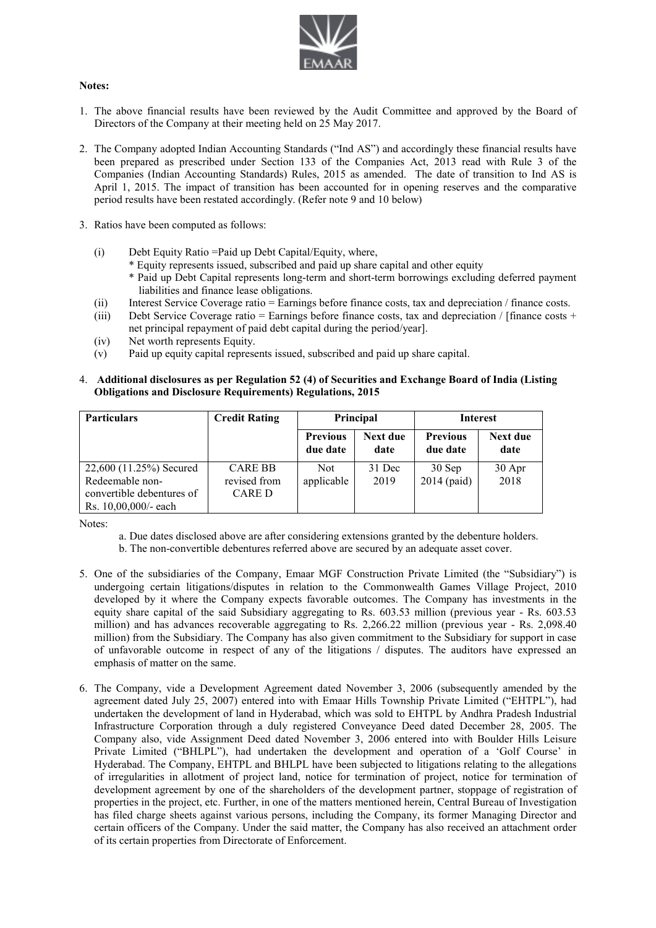

#### **Notes:**

- 1. The above financial results have been reviewed by the Audit Committee and approved by the Board of Directors of the Company at their meeting held on 25 May 2017.
- 2. The Company adopted Indian Accounting Standards ("Ind AS") and accordingly these financial results have been prepared as prescribed under Section 133 of the Companies Act, 2013 read with Rule 3 of the Companies (Indian Accounting Standards) Rules, 2015 as amended. The date of transition to Ind AS is April 1, 2015. The impact of transition has been accounted for in opening reserves and the comparative period results have been restated accordingly. (Refer note 9 and 10 below)
- 3. Ratios have been computed as follows:
	- (i) Debt Equity Ratio =Paid up Debt Capital/Equity, where,
		- \* Equity represents issued, subscribed and paid up share capital and other equity
		- \* Paid up Debt Capital represents long-term and short-term borrowings excluding deferred payment liabilities and finance lease obligations.
	- (ii) Interest Service Coverage ratio = Earnings before finance costs, tax and depreciation / finance costs.
	- (iii) Debt Service Coverage ratio = Earnings before finance costs, tax and depreciation / [finance costs + net principal repayment of paid debt capital during the period/year].
	- (iv) Net worth represents Equity.
	- (v) Paid up equity capital represents issued, subscribed and paid up share capital.
- 4. **Additional disclosures as per Regulation 52 (4) of Securities and Exchange Board of India (Listing Obligations and Disclosure Requirements) Regulations, 2015**

| <b>Particulars</b>        | <b>Credit Rating</b> | Principal                   |                  | <b>Interest</b>             |                  |
|---------------------------|----------------------|-----------------------------|------------------|-----------------------------|------------------|
|                           |                      | <b>Previous</b><br>due date | Next due<br>date | <b>Previous</b><br>due date | Next due<br>date |
| 22,600 (11.25%) Secured   | <b>CARE BB</b>       | Not.                        | 31 Dec           | 30 Sep                      | 30 Apr           |
| Redeemable non-           | revised from         | applicable                  | 2019             | $2014$ (paid)               | 2018             |
| convertible debentures of | CARE D               |                             |                  |                             |                  |
| Rs. 10,00,000/- each      |                      |                             |                  |                             |                  |

Notes:

a. Due dates disclosed above are after considering extensions granted by the debenture holders.

b. The non-convertible debentures referred above are secured by an adequate asset cover.

- 5. One of the subsidiaries of the Company, Emaar MGF Construction Private Limited (the "Subsidiary") is undergoing certain litigations/disputes in relation to the Commonwealth Games Village Project, 2010 developed by it where the Company expects favorable outcomes. The Company has investments in the equity share capital of the said Subsidiary aggregating to Rs. 603.53 million (previous year - Rs. 603.53 million) and has advances recoverable aggregating to Rs. 2,266.22 million (previous year - Rs. 2,098.40 million) from the Subsidiary. The Company has also given commitment to the Subsidiary for support in case of unfavorable outcome in respect of any of the litigations / disputes. The auditors have expressed an emphasis of matter on the same.
- 6. The Company, vide a Development Agreement dated November 3, 2006 (subsequently amended by the agreement dated July 25, 2007) entered into with Emaar Hills Township Private Limited ("EHTPL"), had undertaken the development of land in Hyderabad, which was sold to EHTPL by Andhra Pradesh Industrial Infrastructure Corporation through a duly registered Conveyance Deed dated December 28, 2005. The Company also, vide Assignment Deed dated November 3, 2006 entered into with Boulder Hills Leisure Private Limited ("BHLPL"), had undertaken the development and operation of a 'Golf Course' in Hyderabad. The Company, EHTPL and BHLPL have been subjected to litigations relating to the allegations of irregularities in allotment of project land, notice for termination of project, notice for termination of development agreement by one of the shareholders of the development partner, stoppage of registration of properties in the project, etc. Further, in one of the matters mentioned herein, Central Bureau of Investigation has filed charge sheets against various persons, including the Company, its former Managing Director and certain officers of the Company. Under the said matter, the Company has also received an attachment order of its certain properties from Directorate of Enforcement.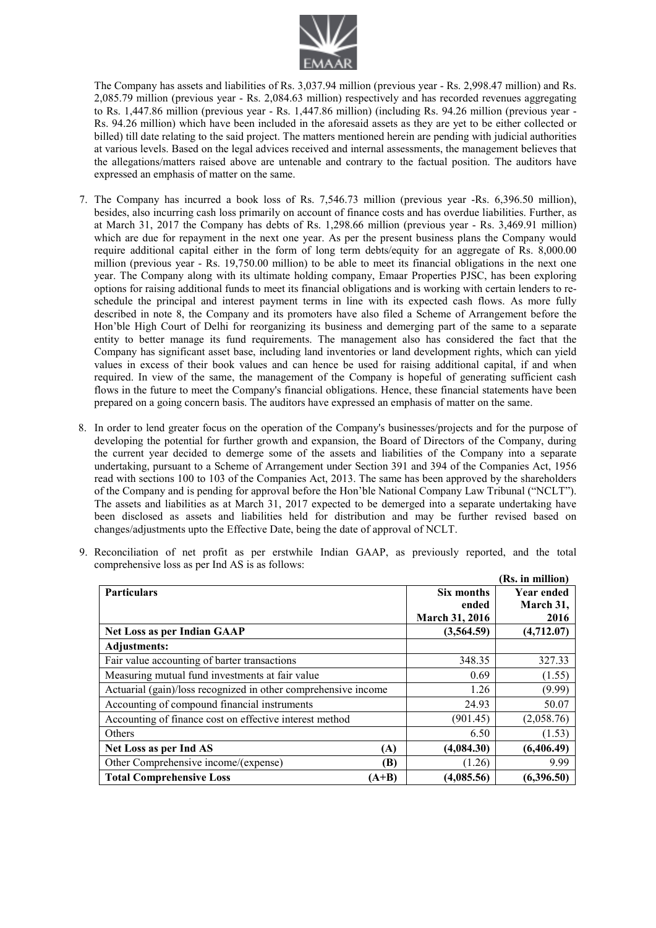

The Company has assets and liabilities of Rs. 3,037.94 million (previous year - Rs. 2,998.47 million) and Rs. 2,085.79 million (previous year - Rs. 2,084.63 million) respectively and has recorded revenues aggregating to Rs. 1,447.86 million (previous year - Rs. 1,447.86 million) (including Rs. 94.26 million (previous year - Rs. 94.26 million) which have been included in the aforesaid assets as they are yet to be either collected or billed) till date relating to the said project. The matters mentioned herein are pending with judicial authorities at various levels. Based on the legal advices received and internal assessments, the management believes that the allegations/matters raised above are untenable and contrary to the factual position. The auditors have expressed an emphasis of matter on the same.

- 7. The Company has incurred a book loss of Rs. 7,546.73 million (previous year -Rs. 6,396.50 million), besides, also incurring cash loss primarily on account of finance costs and has overdue liabilities. Further, as at March 31, 2017 the Company has debts of Rs. 1,298.66 million (previous year - Rs. 3,469.91 million) which are due for repayment in the next one year. As per the present business plans the Company would require additional capital either in the form of long term debts/equity for an aggregate of Rs. 8,000.00 million (previous year - Rs. 19,750.00 million) to be able to meet its financial obligations in the next one year. The Company along with its ultimate holding company, Emaar Properties PJSC, has been exploring options for raising additional funds to meet its financial obligations and is working with certain lenders to reschedule the principal and interest payment terms in line with its expected cash flows. As more fully described in note 8, the Company and its promoters have also filed a Scheme of Arrangement before the Hon'ble High Court of Delhi for reorganizing its business and demerging part of the same to a separate entity to better manage its fund requirements. The management also has considered the fact that the Company has significant asset base, including land inventories or land development rights, which can yield values in excess of their book values and can hence be used for raising additional capital, if and when required. In view of the same, the management of the Company is hopeful of generating sufficient cash flows in the future to meet the Company's financial obligations. Hence, these financial statements have been prepared on a going concern basis. The auditors have expressed an emphasis of matter on the same.
- 8. In order to lend greater focus on the operation of the Company's businesses/projects and for the purpose of developing the potential for further growth and expansion, the Board of Directors of the Company, during the current year decided to demerge some of the assets and liabilities of the Company into a separate undertaking, pursuant to a Scheme of Arrangement under Section 391 and 394 of the Companies Act, 1956 read with sections 100 to 103 of the Companies Act, 2013. The same has been approved by the shareholders of the Company and is pending for approval before the Hon'ble National Company Law Tribunal ("NCLT"). The assets and liabilities as at March 31, 2017 expected to be demerged into a separate undertaking have been disclosed as assets and liabilities held for distribution and may be further revised based on changes/adjustments upto the Effective Date, being the date of approval of NCLT.

|                                                                |         |                | (Rs. in million)  |
|----------------------------------------------------------------|---------|----------------|-------------------|
| <b>Particulars</b>                                             |         | Six months     | <b>Year ended</b> |
|                                                                |         | ended          | March 31,         |
|                                                                |         | March 31, 2016 | 2016              |
| Net Loss as per Indian GAAP                                    |         | (3,564.59)     | (4,712.07)        |
| <b>Adjustments:</b>                                            |         |                |                   |
| Fair value accounting of barter transactions                   |         | 348.35         | 327.33            |
| Measuring mutual fund investments at fair value                |         | 0.69           | (1.55)            |
| Actuarial (gain)/loss recognized in other comprehensive income |         | 1.26           | (9.99)            |
| Accounting of compound financial instruments                   |         | 24.93          | 50.07             |
| Accounting of finance cost on effective interest method        |         | (901.45)       | (2,058.76)        |
| Others                                                         |         | 6.50           | (1.53)            |
| Net Loss as per Ind AS                                         | (A)     | (4,084.30)     | (6,406.49)        |
| Other Comprehensive income/(expense)                           | (B)     | (1.26)         | 9.99              |
| <b>Total Comprehensive Loss</b>                                | $(A+B)$ | (4,085.56)     | (6,396.50)        |

9. Reconciliation of net profit as per erstwhile Indian GAAP, as previously reported, and the total comprehensive loss as per Ind AS is as follows: